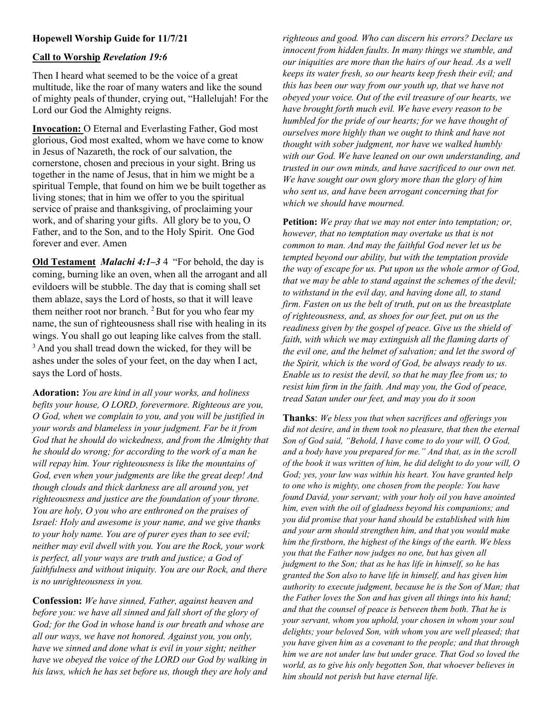## Hopewell Worship Guide for 11/7/21

## Call to Worship Revelation 19:6

Then I heard what seemed to be the voice of a great multitude, like the roar of many waters and like the sound of mighty peals of thunder, crying out, "Hallelujah! For the Lord our God the Almighty reigns.

Invocation: O Eternal and Everlasting Father, God most glorious, God most exalted, whom we have come to know in Jesus of Nazareth, the rock of our salvation, the cornerstone, chosen and precious in your sight. Bring us together in the name of Jesus, that in him we might be a spiritual Temple, that found on him we be built together as living stones; that in him we offer to you the spiritual service of praise and thanksgiving, of proclaiming your work, and of sharing your gifts. All glory be to you, O Father, and to the Son, and to the Holy Spirit. One God forever and ever. Amen

Old Testament *Malachi 4:1–3* 4 "For behold, the day is coming, burning like an oven, when all the arrogant and all evildoers will be stubble. The day that is coming shall set them ablaze, says the Lord of hosts, so that it will leave them neither root nor branch.  $2$  But for you who fear my name, the sun of righteousness shall rise with healing in its wings. You shall go out leaping like calves from the stall. <sup>3</sup> And you shall tread down the wicked, for they will be ashes under the soles of your feet, on the day when I act, says the Lord of hosts.

Adoration: You are kind in all your works, and holiness befits your house, O LORD, forevermore. Righteous are you, O God, when we complain to you, and you will be justified in your words and blameless in your judgment. Far be it from God that he should do wickedness, and from the Almighty that he should do wrong; for according to the work of a man he will repay him. Your righteousness is like the mountains of God, even when your judgments are like the great deep! And though clouds and thick darkness are all around you, yet righteousness and justice are the foundation of your throne. You are holy, O you who are enthroned on the praises of Israel: Holy and awesome is your name, and we give thanks to your holy name. You are of purer eyes than to see evil; neither may evil dwell with you. You are the Rock, your work is perfect, all your ways are truth and justice; a God of faithfulness and without iniquity. You are our Rock, and there is no unrighteousness in you.

Confession: We have sinned, Father, against heaven and before you: we have all sinned and fall short of the glory of God; for the God in whose hand is our breath and whose are all our ways, we have not honored. Against you, you only, have we sinned and done what is evil in your sight; neither have we obeyed the voice of the LORD our God by walking in his laws, which he has set before us, though they are holy and righteous and good. Who can discern his errors? Declare us innocent from hidden faults. In many things we stumble, and our iniquities are more than the hairs of our head. As a well keeps its water fresh, so our hearts keep fresh their evil; and this has been our way from our youth up, that we have not obeyed your voice. Out of the evil treasure of our hearts, we have brought forth much evil. We have every reason to be humbled for the pride of our hearts; for we have thought of ourselves more highly than we ought to think and have not thought with sober judgment, nor have we walked humbly with our God. We have leaned on our own understanding, and trusted in our own minds, and have sacrificed to our own net. We have sought our own glory more than the glory of him who sent us, and have been arrogant concerning that for which we should have mourned.

Petition: We pray that we may not enter into temptation; or, however, that no temptation may overtake us that is not common to man. And may the faithful God never let us be tempted beyond our ability, but with the temptation provide the way of escape for us. Put upon us the whole armor of God, that we may be able to stand against the schemes of the devil; to withstand in the evil day, and having done all, to stand firm. Fasten on us the belt of truth, put on us the breastplate of righteousness, and, as shoes for our feet, put on us the readiness given by the gospel of peace. Give us the shield of faith, with which we may extinguish all the flaming darts of the evil one, and the helmet of salvation; and let the sword of the Spirit, which is the word of God, be always ready to us. Enable us to resist the devil, so that he may flee from us; to resist him firm in the faith. And may you, the God of peace, tread Satan under our feet, and may you do it soon

Thanks: We bless you that when sacrifices and offerings you did not desire, and in them took no pleasure, that then the eternal Son of God said, "Behold, I have come to do your will, O God, and a body have you prepared for me." And that, as in the scroll of the book it was written of him, he did delight to do your will, O God; yes, your law was within his heart. You have granted help to one who is mighty, one chosen from the people: You have found David, your servant; with your holy oil you have anointed him, even with the oil of gladness beyond his companions; and you did promise that your hand should be established with him and your arm should strengthen him, and that you would make him the firstborn, the highest of the kings of the earth. We bless you that the Father now judges no one, but has given all judgment to the Son; that as he has life in himself, so he has granted the Son also to have life in himself, and has given him authority to execute judgment, because he is the Son of Man; that the Father loves the Son and has given all things into his hand; and that the counsel of peace is between them both. That he is your servant, whom you uphold, your chosen in whom your soul delights; your beloved Son, with whom you are well pleased; that you have given him as a covenant to the people; and that through him we are not under law but under grace. That God so loved the world, as to give his only begotten Son, that whoever believes in him should not perish but have eternal life.